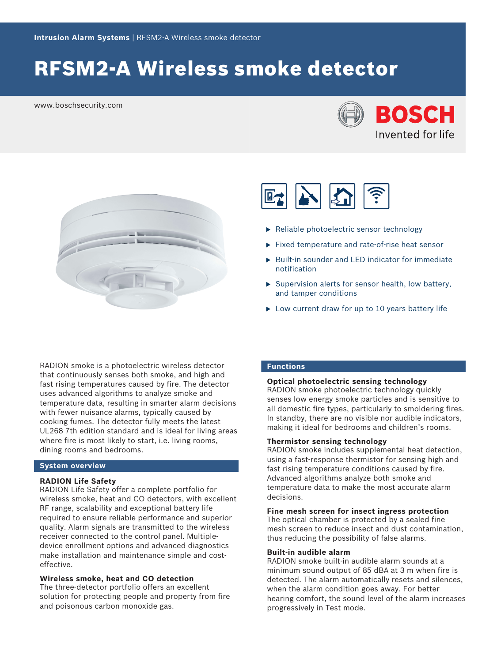# RFSM2-A Wireless smoke detector

www.boschsecurity.com







- $\blacktriangleright$  Reliable photoelectric sensor technology
- $\blacktriangleright$  Fixed temperature and rate-of-rise heat sensor
- $\triangleright$  Built-in sounder and LED indicator for immediate notification
- $\triangleright$  Supervision alerts for sensor health, low battery, and tamper conditions
- $\triangleright$  Low current draw for up to 10 years battery life

RADION smoke is a photoelectric wireless detector that continuously senses both smoke, and high and fast rising temperatures caused by fire. The detector uses advanced algorithms to analyze smoke and temperature data, resulting in smarter alarm decisions with fewer nuisance alarms, typically caused by cooking fumes. The detector fully meets the latest UL268 7th edition standard and is ideal for living areas where fire is most likely to start, i.e. living rooms, dining rooms and bedrooms.

# **System overview**

# **RADION Life Safety**

RADION Life Safety offer a complete portfolio for wireless smoke, heat and CO detectors, with excellent RF range, scalability and exceptional battery life required to ensure reliable performance and superior quality. Alarm signals are transmitted to the wireless receiver connected to the control panel. Multipledevice enrollment options and advanced diagnostics make installation and maintenance simple and costeffective.

**Wireless smoke, heat and CO detection**

The three-detector portfolio offers an excellent solution for protecting people and property from fire and poisonous carbon monoxide gas.

# **Functions**

#### **Optical photoelectric sensing technology**

RADION smoke photoelectric technology quickly senses low energy smoke particles and is sensitive to all domestic fire types, particularly to smoldering fires. In standby, there are no visible nor audible indicators, making it ideal for bedrooms and children's rooms.

#### **Thermistor sensing technology**

RADION smoke includes supplemental heat detection, using a fast-response thermistor for sensing high and fast rising temperature conditions caused by fire. Advanced algorithms analyze both smoke and temperature data to make the most accurate alarm decisions.

#### **Fine mesh screen for insect ingress protection**

The optical chamber is protected by a sealed fine mesh screen to reduce insect and dust contamination, thus reducing the possibility of false alarms.

### **Built-in audible alarm**

RADION smoke built-in audible alarm sounds at a minimum sound output of 85 dBA at 3 m when fire is detected. The alarm automatically resets and silences, when the alarm condition goes away. For better hearing comfort, the sound level of the alarm increases progressively in Test mode.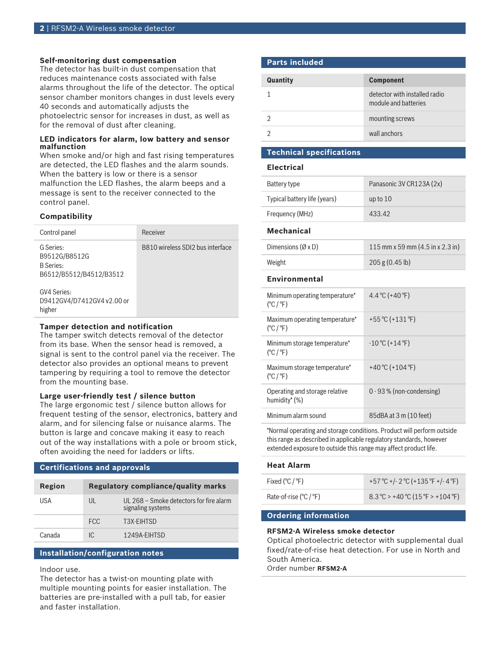### **Self-monitoring dust compensation**

The detector has built-in dust compensation that reduces maintenance costs associated with false alarms throughout the life of the detector. The optical sensor chamber monitors changes in dust levels every 40 seconds and automatically adjusts the photoelectric sensor for increases in dust, as well as for the removal of dust after cleaning.

#### **LED indicators for alarm, low battery and sensor malfunction**

When smoke and/or high and fast rising temperatures are detected, the LED flashes and the alarm sounds. When the battery is low or there is a sensor malfunction the LED flashes, the alarm beeps and a message is sent to the receiver connected to the control panel.

# **Compatibility**

| Control panel                                                             | Receiver                         |
|---------------------------------------------------------------------------|----------------------------------|
| G Series:<br>B9512G/B8512G<br><b>B</b> Series:<br>B6512/B5512/B4512/B3512 | B810 wireless SDI2 bus interface |
| GV4 Series:<br>D9412GV4/D7412GV4 v2.00 or<br>higher                       |                                  |

### **Tamper detection and notification**

The tamper switch detects removal of the detector from its base. When the sensor head is removed, a signal is sent to the control panel via the receiver. The detector also provides an optional means to prevent tampering by requiring a tool to remove the detector from the mounting base.

#### **Large user-friendly test / silence button**

The large ergonomic test / silence button allows for frequent testing of the sensor, electronics, battery and alarm, and for silencing false or nuisance alarms. The button is large and concave making it easy to reach out of the way installations with a pole or broom stick, often avoiding the need for ladders or lifts.

### **Certifications and approvals**

| Region | <b>Regulatory compliance/quality marks</b> |                                                              |
|--------|--------------------------------------------|--------------------------------------------------------------|
| USA    | UL                                         | UL 268 – Smoke detectors for fire alarm<br>signaling systems |
|        | FCC.                                       | T3X-FIHTSD                                                   |
| Canada | IC.                                        | 1249A-FIHTSD                                                 |

# **Installation/configuration notes**

Indoor use.

The detector has a twist-on mounting plate with multiple mounting points for easier installation. The batteries are pre-installed with a pull tab, for easier and faster installation.

# **Parts included**

| <b>Quantity</b> | <b>Component</b>                                      |
|-----------------|-------------------------------------------------------|
|                 | detector with installed radio<br>module and batteries |
|                 | mounting screws                                       |
|                 | wall anchors                                          |

# **Technical specifications**

# **Electrical**

| Battery type                                              | Panasonic 3V CR123A (2x)         |  |
|-----------------------------------------------------------|----------------------------------|--|
| Typical battery life (years)                              | up to $10$                       |  |
| Frequency (MHz)                                           | 433.42                           |  |
| <b>Mechanical</b>                                         |                                  |  |
| Dimensions $(\emptyset \times D)$                         | 115 mm x 59 mm (4.5 in x 2.3 in) |  |
| Weight                                                    | 205 g (0.45 lb)                  |  |
| Environmental                                             |                                  |  |
| Minimum operating temperature*<br>$(^{\circ}C/^{\circ}F)$ | 4.4 °C (+40 °F)                  |  |
| Maximum operating temperature*<br>$(^{\circ}C/^{\circ}F)$ | +55 °C (+131 °F)                 |  |
| Minimum storage temperature*<br>$(^{\circ}C/^{\circ}F)$   | $-10^{\circ}$ C (+14 °F)         |  |
| Maximum storage temperature*<br>$(^{\circ}C/^{\circ}F)$   | +40 °C (+104 °F)                 |  |
| Operating and storage relative<br>humidity* (%)           | $0 - 93$ % (non-condensing)      |  |
| Minimum alarm sound                                       | 85dBA at 3 m (10 feet)           |  |

\*Normal operating and storage conditions. Product will perform outside this range as described in applicable regulatory standards, however extended exposure to outside this range may affect product life.

| <b>Heat Alarm</b>        |                                            |
|--------------------------|--------------------------------------------|
| Fixed (°C / °F)          | +57 °C +/- 2 °C (+135 °F +/- 4 °F)         |
| Rate-of-rise $(°C / °F)$ | $8.3^{\circ}$ C > +40 °C (15 °F > +104 °F) |
|                          |                                            |

# **Ordering information**

#### **RFSM2-A Wireless smoke detector**

Optical photoelectric detector with supplemental dual fixed/rate-of-rise heat detection. For use in North and South America.

Order number **RFSM2-A**